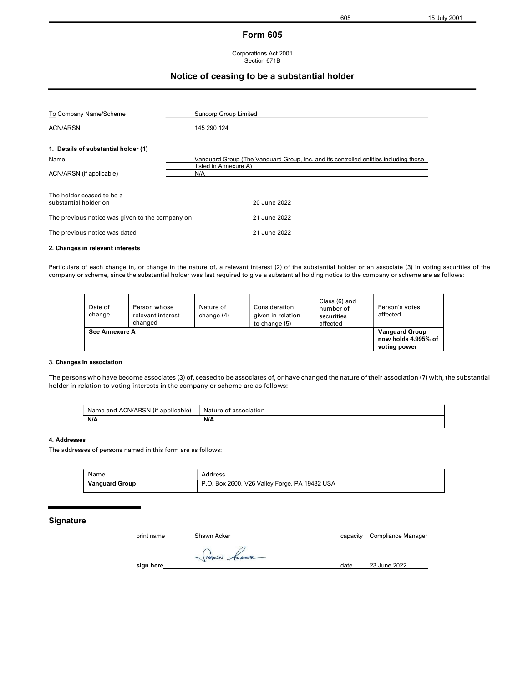# Form 605

#### Corporations Act 2001 Section 671B

## Notice of ceasing to be a substantial holder

| To Company Name/Scheme<br>ACN/ARSN                 | Suncorp Group Limited<br>145 290 124                                                 |              |  |  |
|----------------------------------------------------|--------------------------------------------------------------------------------------|--------------|--|--|
| 1. Details of substantial holder (1)               |                                                                                      |              |  |  |
| Name                                               | Vanguard Group (The Vanguard Group, Inc. and its controlled entities including those |              |  |  |
| ACN/ARSN (if applicable)                           | listed in Annexure A)<br>N/A                                                         |              |  |  |
| The holder ceased to be a<br>substantial holder on |                                                                                      | 20 June 2022 |  |  |
|                                                    |                                                                                      |              |  |  |
| The previous notice was given to the company on    |                                                                                      | 21 June 2022 |  |  |
| The previous notice was dated                      |                                                                                      | 21 June 2022 |  |  |

#### 2. Changes in relevant interests

Particulars of each change in, or change in the nature of, a relevant interest (2) of the substantial holder or an associate (3) in voting securities of the company or scheme, since the substantial holder was last required to give a substantial holding notice to the company or scheme are as follows:

| Date of<br>change | Person whose<br>relevant interest<br>changed | Nature of<br>change (4) | Consideration<br>given in relation<br>to change (5) | Class (6) and<br>number of<br>securities<br>affected | Person's votes<br>affected                                   |
|-------------------|----------------------------------------------|-------------------------|-----------------------------------------------------|------------------------------------------------------|--------------------------------------------------------------|
| See Annexure A    |                                              |                         |                                                     |                                                      | <b>Vanguard Group</b><br>now holds 4.995% of<br>voting power |

### 3. Changes in association

The persons who have become associates (3) of, ceased to be associates of, or have changed the nature of their association (7) with, the substantial holder in relation to voting interests in the company or scheme are as follows:

| Name and ACN/ARSN (if applicable) | Nature of association |
|-----------------------------------|-----------------------|
| N/A                               | N/A                   |

### 4. Addresses

The addresses of persons named in this form are as follows:

| Name                  | Address                                       |
|-----------------------|-----------------------------------------------|
| <b>Vanguard Group</b> | P.O. Box 2600, V26 Valley Forge, PA 19482 USA |

### Signature

| print name | Shawn Acker | capacity | Compliance Manager |
|------------|-------------|----------|--------------------|
|            | THANN Acces |          |                    |
| sign here  |             | date     | 23 June 2022       |
|            |             |          |                    |